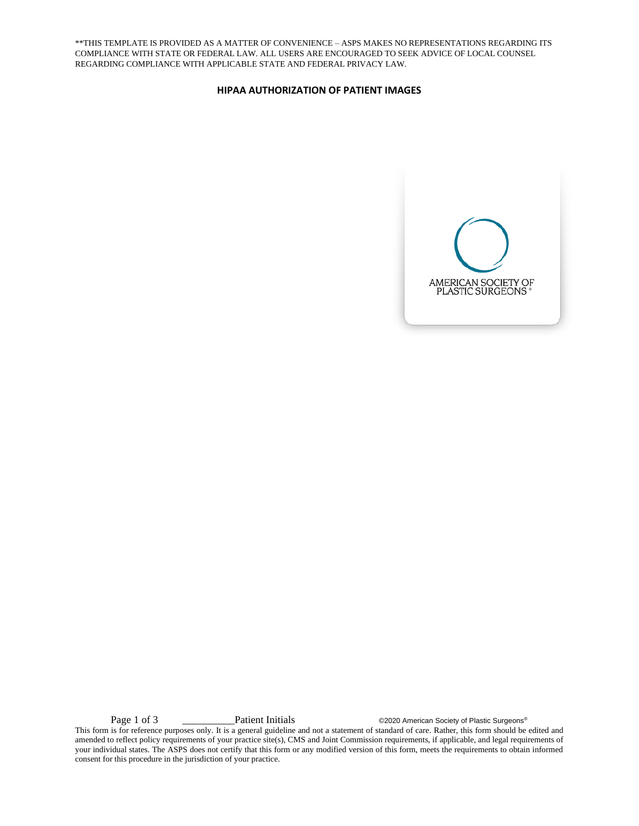\*\*THIS TEMPLATE IS PROVIDED AS A MATTER OF CONVENIENCE – ASPS MAKES NO REPRESENTATIONS REGARDING ITS COMPLIANCE WITH STATE OR FEDERAL LAW. ALL USERS ARE ENCOURAGED TO SEEK ADVICE OF LOCAL COUNSEL REGARDING COMPLIANCE WITH APPLICABLE STATE AND FEDERAL PRIVACY LAW.

## **HIPAA AUTHORIZATION OF PATIENT IMAGES**



Page 1 of 3 \_\_\_\_\_\_\_\_\_\_\_\_\_\_\_\_\_\_\_\_\_Patient Initials  $\qquad \qquad \circ$ 2020 American Society of Plastic Surgeons®

This form is for reference purposes only. It is a general guideline and not a statement of standard of care. Rather, this form should be edited and amended to reflect policy requirements of your practice site(s), CMS and Joint Commission requirements, if applicable, and legal requirements of your individual states. The ASPS does not certify that this form or any modified version of this form, meets the requirements to obtain informed consent for this procedure in the jurisdiction of your practice.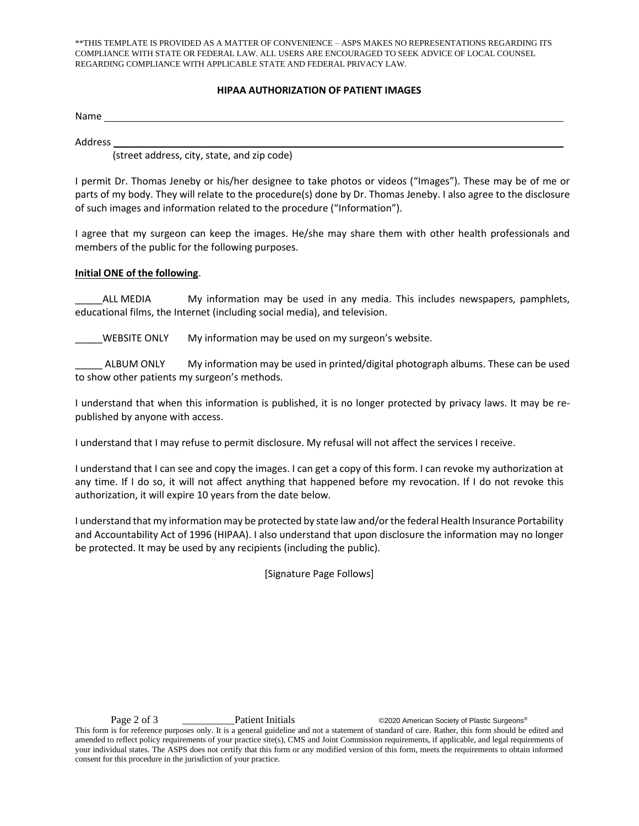\*\*THIS TEMPLATE IS PROVIDED AS A MATTER OF CONVENIENCE – ASPS MAKES NO REPRESENTATIONS REGARDING ITS COMPLIANCE WITH STATE OR FEDERAL LAW. ALL USERS ARE ENCOURAGED TO SEEK ADVICE OF LOCAL COUNSEL REGARDING COMPLIANCE WITH APPLICABLE STATE AND FEDERAL PRIVACY LAW.

## **HIPAA AUTHORIZATION OF PATIENT IMAGES**

Name

Address

(street address, city, state, and zip code)

I permit Dr. Thomas Jeneby or his/her designee to take photos or videos ("Images"). These may be of me or parts of my body. They will relate to the procedure(s) done by Dr. Thomas Jeneby. I also agree to the disclosure of such images and information related to the procedure ("Information").

I agree that my surgeon can keep the images. He/she may share them with other health professionals and members of the public for the following purposes.

## **Initial ONE of the following**.

ALL MEDIA My information may be used in any media. This includes newspapers, pamphlets, educational films, the Internet (including social media), and television.

\_\_\_\_\_WEBSITE ONLY My information may be used on my surgeon's website.

\_\_\_\_\_ ALBUM ONLY My information may be used in printed/digital photograph albums. These can be used to show other patients my surgeon's methods.

I understand that when this information is published, it is no longer protected by privacy laws. It may be republished by anyone with access.

I understand that I may refuse to permit disclosure. My refusal will not affect the services I receive.

I understand that I can see and copy the images. I can get a copy of this form. I can revoke my authorization at any time. If I do so, it will not affect anything that happened before my revocation. If I do not revoke this authorization, it will expire 10 years from the date below.

I understand that my information may be protected by state law and/or the federal Health Insurance Portability and Accountability Act of 1996 (HIPAA). I also understand that upon disclosure the information may no longer be protected. It may be used by any recipients (including the public).

[Signature Page Follows]

Page 2 of 3 \_\_\_\_\_\_\_\_\_\_Patient Initials ©2020 American Society of Plastic Surgeons®

This form is for reference purposes only. It is a general guideline and not a statement of standard of care. Rather, this form should be edited and amended to reflect policy requirements of your practice site(s), CMS and Joint Commission requirements, if applicable, and legal requirements of your individual states. The ASPS does not certify that this form or any modified version of this form, meets the requirements to obtain informed consent for this procedure in the jurisdiction of your practice.